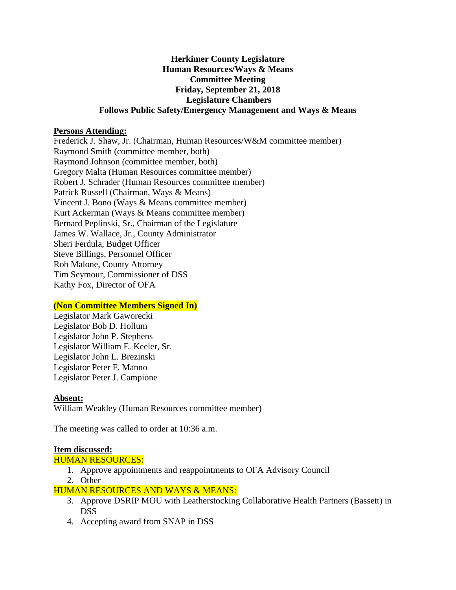## **Herkimer County Legislature Human Resources/Ways & Means Committee Meeting Friday, September 21, 2018 Legislature Chambers Follows Public Safety/Emergency Management and Ways & Means**

## **Persons Attending:**

Frederick J. Shaw, Jr. (Chairman, Human Resources/W&M committee member) Raymond Smith (committee member, both) Raymond Johnson (committee member, both) Gregory Malta (Human Resources committee member) Robert J. Schrader (Human Resources committee member) Patrick Russell (Chairman, Ways & Means) Vincent J. Bono (Ways & Means committee member) Kurt Ackerman (Ways & Means committee member) Bernard Peplinski, Sr., Chairman of the Legislature James W. Wallace, Jr., County Administrator Sheri Ferdula, Budget Officer Steve Billings, Personnel Officer Rob Malone, County Attorney Tim Seymour, Commissioner of DSS Kathy Fox, Director of OFA

## **(Non Committee Members Signed In)**

Legislator Mark Gaworecki Legislator Bob D. Hollum Legislator John P. Stephens Legislator William E. Keeler, Sr. Legislator John L. Brezinski Legislator Peter F. Manno Legislator Peter J. Campione

#### **Absent:**

William Weakley (Human Resources committee member)

The meeting was called to order at 10:36 a.m.

#### **Item discussed:**

#### HUMAN RESOURCES:

- 1. Approve appointments and reappointments to OFA Advisory Council
- 2. Other

## HUMAN RESOURCES AND WAYS & MEANS:

- 3. Approve DSRIP MOU with Leatherstocking Collaborative Health Partners (Bassett) in DSS
- 4. Accepting award from SNAP in DSS